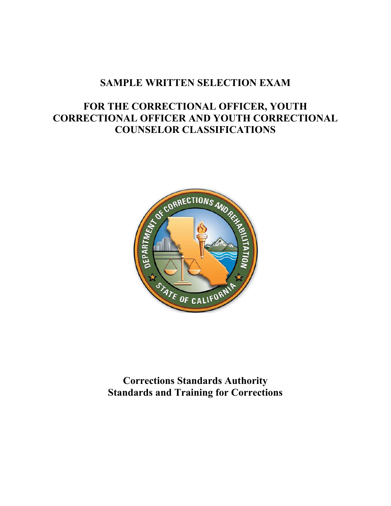## **SAMPLE WRITTEN SELECTION EXAM**

# **FOR THE CORRECTIONAL OFFICER, YOUTH CORRECTIONAL OFFICER AND YOUTH CORRECTIONAL COUNSELOR CLASSIFICATIONS**



**Corrections Standards Authority Standards and Training for Corrections**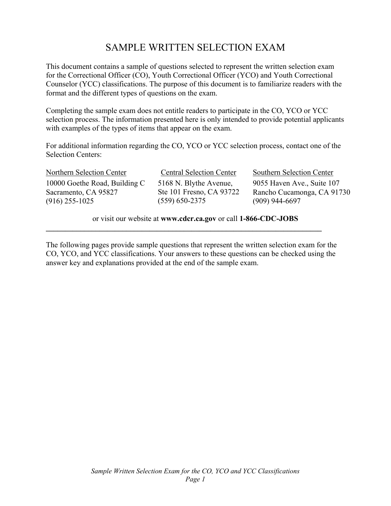# SAMPLE WRITTEN SELECTION EXAM

This document contains a sample of questions selected to represent the written selection exam for the Correctional Officer (CO), Youth Correctional Officer (YCO) and Youth Correctional Counselor (YCC) classifications. The purpose of this document is to familiarize readers with the format and the different types of questions on the exam.

Completing the sample exam does not entitle readers to participate in the CO, YCO or YCC selection process. The information presented here is only intended to provide potential applicants with examples of the types of items that appear on the exam.

For additional information regarding the CO, YCO or YCC selection process, contact one of the Selection Centers:

Northern Selection Center 10000 Goethe Road, Building C Sacramento, CA 95827 (916) 255-1025

Central Selection Center Southern Selection Center 5168 N. Blythe Avenue, Ste 101 Fresno, CA 93722 (559) 650-2375

9055 Haven Ave., Suite 107 Rancho Cucamonga, CA 91730 (909) 944-6697

or visit our website at **www.cdcr.ca.gov** or call **1-866-CDC-JOBS** 

The following pages provide sample questions that represent the written selection exam for the CO, YCO, and YCC classifications. Your answers to these questions can be checked using the answer key and explanations provided at the end of the sample exam.

**\_\_\_\_\_\_\_\_\_\_\_\_\_\_\_\_\_\_\_\_\_\_\_\_\_\_\_\_\_\_\_\_\_\_\_\_\_\_\_\_\_\_\_\_\_\_\_\_\_\_\_\_\_\_\_\_\_\_\_\_\_\_\_\_\_\_\_\_\_\_\_\_**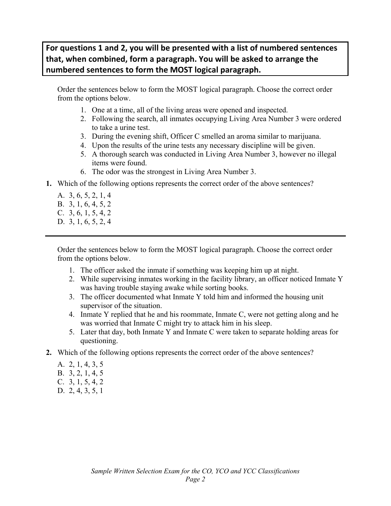## **For questions 1 and 2, you will be presented with a list of numbered sentences that, when combined, form a paragraph. You will be asked to arrange the numbered sentences to form the MOST logical paragraph.**

Order the sentences below to form the MOST logical paragraph. Choose the correct order from the options below.

- 1. One at a time, all of the living areas were opened and inspected.
- 2. Following the search, all inmates occupying Living Area Number 3 were ordered to take a urine test.
- 3. During the evening shift, Officer C smelled an aroma similar to marijuana.
- 4. Upon the results of the urine tests any necessary discipline will be given.
- 5. A thorough search was conducted in Living Area Number 3, however no illegal items were found.
- 6. The odor was the strongest in Living Area Number 3.
- **1.** Which of the following options represents the correct order of the above sentences?
	- A. 3, 6, 5, 2, 1, 4 B. 3, 1, 6, 4, 5, 2
	- C. 3, 6, 1, 5, 4, 2
	- D. 3, 1, 6, 5, 2, 4

Order the sentences below to form the MOST logical paragraph. Choose the correct order from the options below.

- 1. The officer asked the inmate if something was keeping him up at night.
- 2. While supervising inmates working in the facility library, an officer noticed Inmate Y was having trouble staying awake while sorting books.
- 3. The officer documented what Inmate Y told him and informed the housing unit supervisor of the situation.
- 4. Inmate Y replied that he and his roommate, Inmate C, were not getting along and he was worried that Inmate C might try to attack him in his sleep.
- 5. Later that day, both Inmate Y and Inmate C were taken to separate holding areas for questioning.
- **2.** Which of the following options represents the correct order of the above sentences?
	- A. 2, 1, 4, 3, 5
	- B. 3, 2, 1, 4, 5
	- C. 3, 1, 5, 4, 2
	- D. 2, 4, 3, 5, 1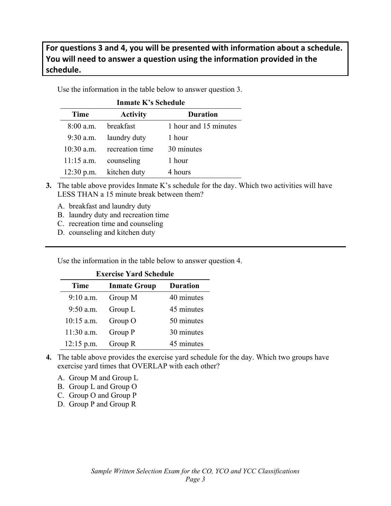## **For questions 3 and 4, you will be presented with information about a schedule. You will need to answer a question using the information provided in the schedule.**

Use the information in the table below to answer question 3.

| <b>Inmate K's Schedule</b> |                              |                       |  |
|----------------------------|------------------------------|-----------------------|--|
| <b>Time</b>                | <b>Activity</b>              | <b>Duration</b>       |  |
|                            | 8:00 a.m. breakfast          | 1 hour and 15 minutes |  |
|                            | 9:30 a.m. laundry duty       | 1 hour                |  |
|                            | $10:30$ a.m. recreation time | 30 minutes            |  |
| $11:15$ a.m.               | counseling                   | 1 hour                |  |
|                            | 12:30 p.m. kitchen duty      | 4 hours               |  |

- **3.** The table above provides Inmate K's schedule for the day. Which two activities will have LESS THAN a 15 minute break between them?
	- A. breakfast and laundry duty
	- B. laundry duty and recreation time
	- C. recreation time and counseling
	- D. counseling and kitchen duty

Use the information in the table below to answer question 4.

#### **Exercise Yard Schedule**

| <b>Time</b>  | <b>Inmate Group</b> | <b>Duration</b> |
|--------------|---------------------|-----------------|
| $9:10$ a.m.  | Group M             | 40 minutes      |
| $9:50$ a.m.  | Group L             | 45 minutes      |
| $10:15$ a.m. | Group O             | 50 minutes      |
| $11:30$ a.m. | Group P             | 30 minutes      |
| $12:15$ p.m. | Group R             | 45 minutes      |

- **4.** The table above provides the exercise yard schedule for the day. Which two groups have exercise yard times that OVERLAP with each other?
	- A. Group M and Group L
	- B. Group L and Group O
	- C. Group O and Group P
	- D. Group P and Group R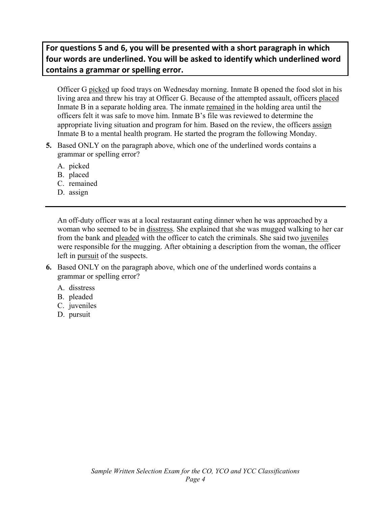## **For questions 5 and 6, you will be presented with a short paragraph in which four words are underlined. You will be asked to identify which underlined word contains a grammar or spelling error.**

Officer G picked up food trays on Wednesday morning. Inmate B opened the food slot in his living area and threw his tray at Officer G. Because of the attempted assault, officers placed Inmate B in a separate holding area. The inmate remained in the holding area until the officers felt it was safe to move him. Inmate B's file was reviewed to determine the appropriate living situation and program for him. Based on the review, the officers assign Inmate B to a mental health program. He started the program the following Monday.

- **5.** Based ONLY on the paragraph above, which one of the underlined words contains a grammar or spelling error?
	- A. picked
	- B. placed
	- C. remained
	- D. assign

An off-duty officer was at a local restaurant eating dinner when he was approached by a woman who seemed to be in disstress. She explained that she was mugged walking to her car from the bank and pleaded with the officer to catch the criminals. She said two juveniles were responsible for the mugging. After obtaining a description from the woman, the officer left in pursuit of the suspects.

- **6.** Based ONLY on the paragraph above, which one of the underlined words contains a grammar or spelling error?
	- A. disstress
	- B. pleaded
	- C. juveniles
	- D. pursuit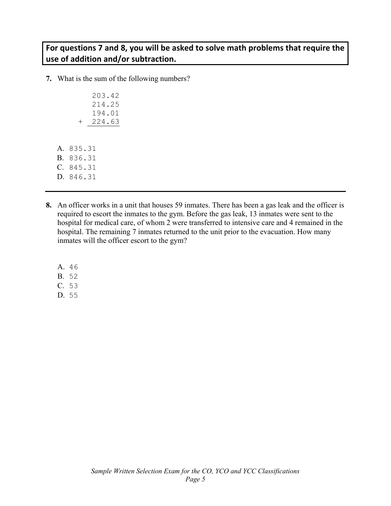#### **For questions 7 and 8, you will be asked to solve math problems that require the use of addition and/or subtraction.**

**7.** What is the sum of the following numbers?

|        |        |  |  |  | 203.42 |  |
|--------|--------|--|--|--|--------|--|
|        |        |  |  |  | 214.25 |  |
|        |        |  |  |  | 194.01 |  |
|        | $^{+}$ |  |  |  | 224.63 |  |
|        |        |  |  |  |        |  |
|        |        |  |  |  |        |  |
| 835.31 |        |  |  |  |        |  |
| 836.31 |        |  |  |  |        |  |
| 845.31 |        |  |  |  |        |  |
| 846.31 |        |  |  |  |        |  |

- **8.** An officer works in a unit that houses 59 inmates. There has been a gas leak and the officer is required to escort the inmates to the gym. Before the gas leak, 13 inmates were sent to the hospital for medical care, of whom 2 were transferred to intensive care and 4 remained in the hospital. The remaining 7 inmates returned to the unit prior to the evacuation. How many inmates will the officer escort to the gym?
	- A. 46

 $A<sub>1</sub>$  $B.$  $C<sub>1</sub>$  $D.$ 

- B. 52
- C. 53
- D. 55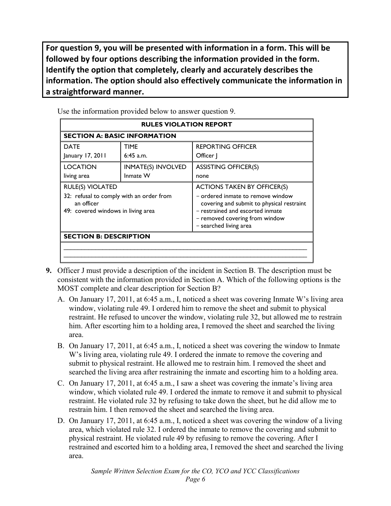**For question 9, you will be presented with information in a form. This will be followed by four options describing the information provided in the form. Identify the option that completely, clearly and accurately describes the information. The option should also effectively communicate the information in a straightforward manner.**

| <b>RULES VIOLATION REPORT</b>                                                                                           |                                       |                                                                                                                                                                                                                      |  |  |
|-------------------------------------------------------------------------------------------------------------------------|---------------------------------------|----------------------------------------------------------------------------------------------------------------------------------------------------------------------------------------------------------------------|--|--|
| <b>SECTION A: BASIC INFORMATION</b>                                                                                     |                                       |                                                                                                                                                                                                                      |  |  |
| <b>DATE</b><br>January 17, 2011                                                                                         | <b>TIME</b><br>$6:45$ a.m.            | <b>REPORTING OFFICER</b><br>Officer                                                                                                                                                                                  |  |  |
| <b>LOCATION</b><br>living area                                                                                          | <b>INMATE(S) INVOLVED</b><br>Inmate W | <b>ASSISTING OFFICER(S)</b><br>none                                                                                                                                                                                  |  |  |
| <b>RULE(S) VIOLATED</b><br>32: refusal to comply with an order from<br>an officer<br>49: covered windows in living area |                                       | <b>ACTIONS TAKEN BY OFFICER(S)</b><br>- ordered inmate to remove window<br>covering and submit to physical restraint<br>- restrained and escorted inmate<br>- removed covering from window<br>- searched living area |  |  |
| <b>SECTION B: DESCRIPTION</b>                                                                                           |                                       |                                                                                                                                                                                                                      |  |  |

Use the information provided below to answer question 9.

- **9.** Officer J must provide a description of the incident in Section B. The description must be consistent with the information provided in Section A. Which of the following options is the MOST complete and clear description for Section B?
	- A. On January 17, 2011, at 6:45 a.m., I, noticed a sheet was covering Inmate W's living area window, violating rule 49. I ordered him to remove the sheet and submit to physical restraint. He refused to uncover the window, violating rule 32, but allowed me to restrain him. After escorting him to a holding area, I removed the sheet and searched the living area.
	- B. On January 17, 2011, at 6:45 a.m., I, noticed a sheet was covering the window to Inmate W's living area, violating rule 49. I ordered the inmate to remove the covering and submit to physical restraint. He allowed me to restrain him. I removed the sheet and searched the living area after restraining the inmate and escorting him to a holding area.
	- C. On January 17, 2011, at 6:45 a.m., I saw a sheet was covering the inmate's living area window, which violated rule 49. I ordered the inmate to remove it and submit to physical restraint. He violated rule 32 by refusing to take down the sheet, but he did allow me to restrain him. I then removed the sheet and searched the living area.
	- D. On January 17, 2011, at 6:45 a.m., I, noticed a sheet was covering the window of a living area, which violated rule 32. I ordered the inmate to remove the covering and submit to physical restraint. He violated rule 49 by refusing to remove the covering. After I restrained and escorted him to a holding area, I removed the sheet and searched the living area.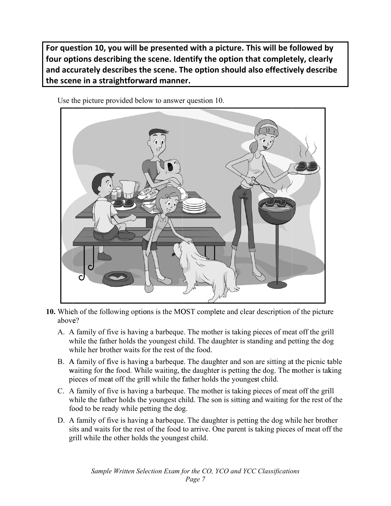**For question 10, you will be presented with a picture. This will be followed by four options describing the scene. Identify the option that completely, clearly and accurately describes the scene. The option should also effectively describe the scene in a straightforward manner.**



Use the picture provided below to answer question 10.

- **10.** Which of the following options is the MOST complete and clear description of the picture above?
	- A. A family of five is having a barbeque. The mother is taking pieces of meat off the grill while the father holds the youngest child. The daughter is standing and petting the dog while her brother waits for the rest of the food.
	- B. A family of five is having a barbeque. The daughter and son are sitting at the picnic table waiting for the food. While waiting, the daughter is petting the dog. The mother is taking pieces of meat off the grill while the father holds the youngest child.
	- C. A family of five is having a barbeque. The mother is taking pieces of meat off the grill while the father holds the youngest child. The son is sitting and waiting for the rest of the food to be ready while petting the dog.
	- D. A family of five is having a barbeque. The daughter is petting the dog while her brother sits and waits for the rest of the food to arrive. One parent is taking pieces of meat off the grill while the other holds the youngest child.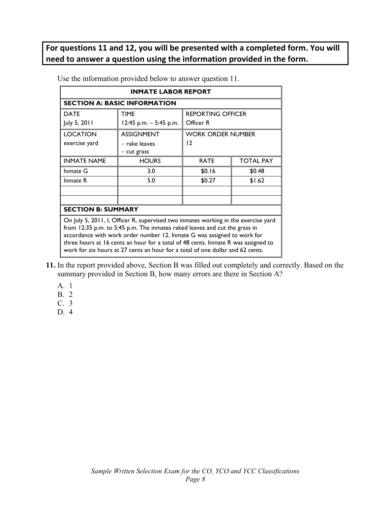## **For questions 11 and 12, you will be presented with a completed form. You will need to answer a question using the information provided in the form.**

| <b>INMATE LABOR REPORT</b>                                                                                                                                                                                                                                                                                                                                                                                         |                          |                          |                  |  |
|--------------------------------------------------------------------------------------------------------------------------------------------------------------------------------------------------------------------------------------------------------------------------------------------------------------------------------------------------------------------------------------------------------------------|--------------------------|--------------------------|------------------|--|
| <b>SECTION A: BASIC INFORMATION</b>                                                                                                                                                                                                                                                                                                                                                                                |                          |                          |                  |  |
| <b>DATE</b>                                                                                                                                                                                                                                                                                                                                                                                                        | <b>TIME</b>              | <b>REPORTING OFFICER</b> |                  |  |
| July 5, 2011                                                                                                                                                                                                                                                                                                                                                                                                       | 12:45 p.m. $-$ 5:45 p.m. | Officer R                |                  |  |
| <b>LOCATION</b>                                                                                                                                                                                                                                                                                                                                                                                                    | <b>ASSIGNMENT</b>        | <b>WORK ORDER NUMBER</b> |                  |  |
| exercise yard                                                                                                                                                                                                                                                                                                                                                                                                      | – rake leaves            | $\overline{12}$          |                  |  |
|                                                                                                                                                                                                                                                                                                                                                                                                                    | $-$ cut grass            |                          |                  |  |
| <b>INMATE NAME</b>                                                                                                                                                                                                                                                                                                                                                                                                 | <b>HOURS</b>             | <b>RATE</b>              | <b>TOTAL PAY</b> |  |
| Inmate G                                                                                                                                                                                                                                                                                                                                                                                                           | 3.0                      | \$0.16                   | \$0.48           |  |
| Inmate R                                                                                                                                                                                                                                                                                                                                                                                                           | 5.0                      | \$0.27                   | \$1.62           |  |
|                                                                                                                                                                                                                                                                                                                                                                                                                    |                          |                          |                  |  |
|                                                                                                                                                                                                                                                                                                                                                                                                                    |                          |                          |                  |  |
| <b>SECTION B: SUMMARY</b>                                                                                                                                                                                                                                                                                                                                                                                          |                          |                          |                  |  |
| On July 5, 2011, I, Officer R, supervised two inmates working in the exercise yard<br>from 12:35 p.m. to 5:45 p.m. The inmates raked leaves and cut the grass in<br>accordance with work order number 12. Inmate G was assigned to work for<br>three hours at 16 cents an hour for a total of 48 cents. Inmate R was assigned to<br>work for six hours at 27 cents an hour for a total of one dollar and 62 cents. |                          |                          |                  |  |

Use the information provided below to answer question 11.

- **11.** In the report provided above, Section B was filled out completely and correctly. Based on the summary provided in Section B, how many errors are there in Section A?
	- A. 1
	- B. 2
	- C. 3
	- D. 4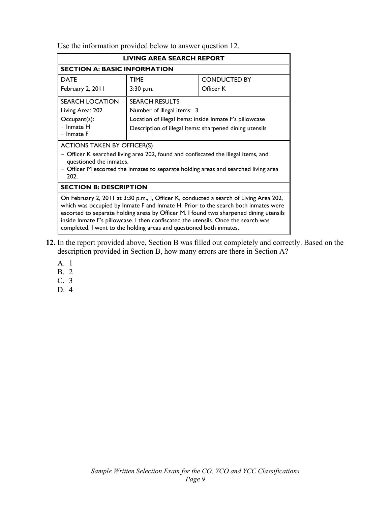Use the information provided below to answer question 12.

| LIVING AREA SEARCH REPORT                                                                                                                                                                                                                                                                                                                                                                                                           |                                                         |  |  |  |
|-------------------------------------------------------------------------------------------------------------------------------------------------------------------------------------------------------------------------------------------------------------------------------------------------------------------------------------------------------------------------------------------------------------------------------------|---------------------------------------------------------|--|--|--|
| <b>SECTION A: BASIC INFORMATION</b>                                                                                                                                                                                                                                                                                                                                                                                                 |                                                         |  |  |  |
| <b>DATE</b>                                                                                                                                                                                                                                                                                                                                                                                                                         | <b>TIME</b><br><b>CONDUCTED BY</b>                      |  |  |  |
| February 2, 2011                                                                                                                                                                                                                                                                                                                                                                                                                    | Officer K<br>3:30 p.m.                                  |  |  |  |
| <b>SEARCH LOCATION</b>                                                                                                                                                                                                                                                                                                                                                                                                              | <b>SEARCH RESULTS</b>                                   |  |  |  |
| Living Area: 202                                                                                                                                                                                                                                                                                                                                                                                                                    | Number of illegal items: 3                              |  |  |  |
| Occupant(s):                                                                                                                                                                                                                                                                                                                                                                                                                        | Location of illegal items: inside Inmate F's pillowcase |  |  |  |
| $-$ Inmate $H$<br>$-$ Inmate $F$                                                                                                                                                                                                                                                                                                                                                                                                    | Description of illegal items: sharpened dining utensils |  |  |  |
| <b>ACTIONS TAKEN BY OFFICER(S)</b>                                                                                                                                                                                                                                                                                                                                                                                                  |                                                         |  |  |  |
| - Officer K searched living area 202, found and confiscated the illegal items, and<br>questioned the inmates.                                                                                                                                                                                                                                                                                                                       |                                                         |  |  |  |
| - Officer M escorted the inmates to separate holding areas and searched living area<br>202.                                                                                                                                                                                                                                                                                                                                         |                                                         |  |  |  |
| <b>SECTION B: DESCRIPTION</b>                                                                                                                                                                                                                                                                                                                                                                                                       |                                                         |  |  |  |
| On February 2, 2011 at 3:30 p.m., I, Officer K, conducted a search of Living Area 202,<br>which was occupied by Inmate F and Inmate H. Prior to the search both inmates were<br>escorted to separate holding areas by Officer M. I found two sharpened dining utensils<br>inside Inmate F's pillowcase. I then confiscated the utensils. Once the search was<br>completed, I went to the holding areas and questioned both inmates. |                                                         |  |  |  |

- **12.** In the report provided above, Section B was filled out completely and correctly. Based on the description provided in Section B, how many errors are there in Section A?
	- A. 1
	- B. 2
	- C. 3
	- D. 4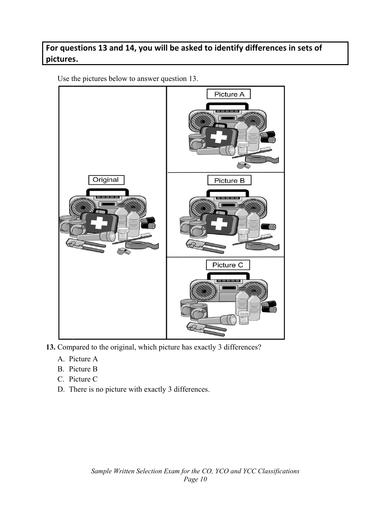## For questions 13 and 14, you will be asked to identify differences in sets of **pictures.**

Use the pictures below to answer question 13.



- **13.** Compared to the original, which picture has exactly 3 differences?
	- A. Picture A
	- B. Picture B
	- C. Picture C
	- D. There is no picture with exactly 3 differences.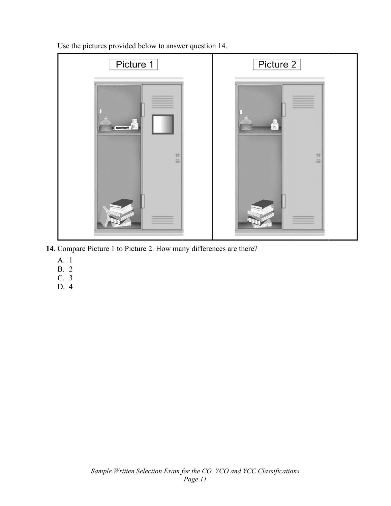Use the pictures provided below to answer question 14.



- **14.** Compare Picture 1 to Picture 2. How many differences are there?
	- A. 1
	- B. 2
	- C. 3
	- D. 4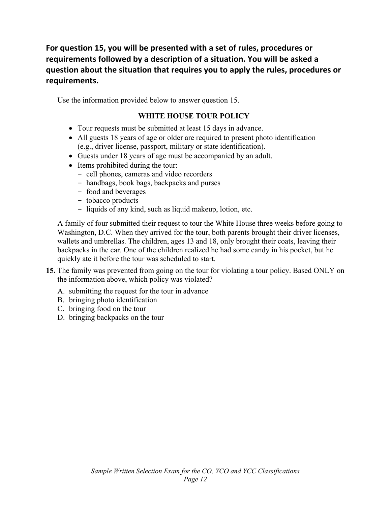**For question 15, you will be presented with a set of rules, procedures or requirements followed by a description of a situation. You will be asked a question about the situation that requires you to apply the rules, procedures or requirements.**

Use the information provided below to answer question 15.

#### **WHITE HOUSE TOUR POLICY**

- Tour requests must be submitted at least 15 days in advance.
- All guests 18 years of age or older are required to present photo identification (e.g., driver license, passport, military or state identification).
- Guests under 18 years of age must be accompanied by an adult.
- Items prohibited during the tour:
	- cell phones, cameras and video recorders
	- handbags, book bags, backpacks and purses
	- food and beverages
	- tobacco products
	- liquids of any kind, such as liquid makeup, lotion, etc.

A family of four submitted their request to tour the White House three weeks before going to Washington, D.C. When they arrived for the tour, both parents brought their driver licenses, wallets and umbrellas. The children, ages 13 and 18, only brought their coats, leaving their backpacks in the car. One of the children realized he had some candy in his pocket, but he quickly ate it before the tour was scheduled to start.

- **15.** The family was prevented from going on the tour for violating a tour policy. Based ONLY on the information above, which policy was violated?
	- A. submitting the request for the tour in advance
	- B. bringing photo identification
	- C. bringing food on the tour
	- D. bringing backpacks on the tour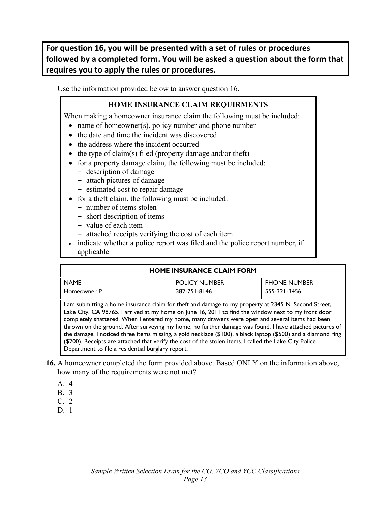**For question 16, you will be presented with a set of rules or procedures followed by a completed form. You will be asked a question about the form that requires you to apply the rules or procedures.**

Use the information provided below to answer question 16.

#### **HOME INSURANCE CLAIM REQUIRMENTS**

When making a homeowner insurance claim the following must be included:

- name of homeowner(s), policy number and phone number
- the date and time the incident was discovered
- the address where the incident occurred
- the type of claim(s) filed (property damage and/or theft)
- for a property damage claim, the following must be included:
	- description of damage
	- attach pictures of damage
	- estimated cost to repair damage
- for a theft claim, the following must be included:
	- number of items stolen
	- short description of items
	- value of each item
	- attached receipts verifying the cost of each item

• indicate whether a police report was filed and the police report number, if applicable

#### **HOME INSURANCE CLAIM FORM**  NAME Homeowner P POLICY NUMBER 382-751-8146 PHONE NUMBER 555-321-3456 I am submitting a home insurance claim for theft and damage to my property at 2345 N. Second Street, Lake City, CA 98765. I arrived at my home on June 16, 2011 to find the window next to my front door completely shattered. When I entered my home, many drawers were open and several items had been thrown on the ground. After surveying my home, no further damage was found. I have attached pictures of the damage. I noticed three items missing, a gold necklace (\$100), a black laptop (\$500) and a diamond ring (\$200). Receipts are attached that verify the cost of the stolen items. I called the Lake City Police Department to file a residential burglary report.

- **16.** A homeowner completed the form provided above. Based ONLY on the information above, how many of the requirements were not met?
	- A. 4
	- B. 3
	- C. 2
	- D. 1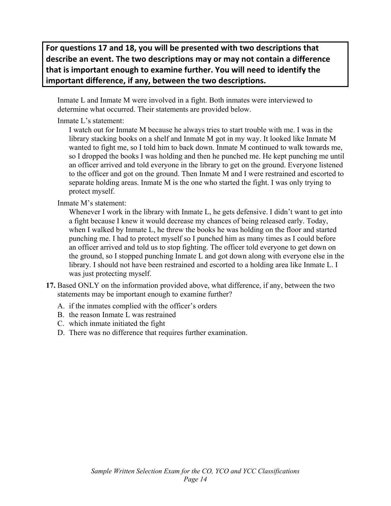**For questions 17 and 18, you will be presented with two descriptions that describe an event. The two descriptions may or may not contain a difference that is important enough to examine further. You will need to identify the important difference, if any, between the two descriptions.**

Inmate L and Inmate M were involved in a fight. Both inmates were interviewed to determine what occurred. Their statements are provided below.

Inmate L's statement:

I watch out for Inmate M because he always tries to start trouble with me. I was in the library stacking books on a shelf and Inmate M got in my way. It looked like Inmate M wanted to fight me, so I told him to back down. Inmate M continued to walk towards me, so I dropped the books I was holding and then he punched me. He kept punching me until an officer arrived and told everyone in the library to get on the ground. Everyone listened to the officer and got on the ground. Then Inmate M and I were restrained and escorted to separate holding areas. Inmate M is the one who started the fight. I was only trying to protect myself.

Inmate M's statement:

Whenever I work in the library with Inmate L, he gets defensive. I didn't want to get into a fight because I knew it would decrease my chances of being released early. Today, when I walked by Inmate L, he threw the books he was holding on the floor and started punching me. I had to protect myself so I punched him as many times as I could before an officer arrived and told us to stop fighting. The officer told everyone to get down on the ground, so I stopped punching Inmate L and got down along with everyone else in the library. I should not have been restrained and escorted to a holding area like Inmate L. I was just protecting myself.

- **17.** Based ONLY on the information provided above, what difference, if any, between the two statements may be important enough to examine further?
	- A. if the inmates complied with the officer's orders
	- B. the reason Inmate L was restrained
	- C. which inmate initiated the fight
	- D. There was no difference that requires further examination.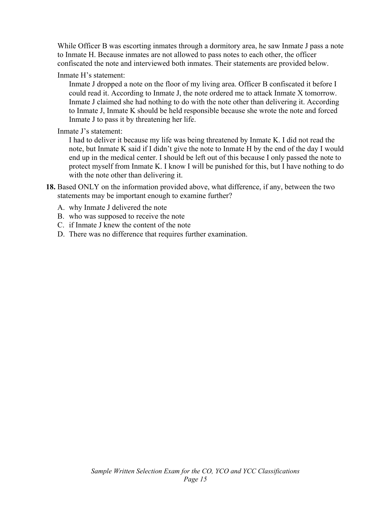While Officer B was escorting inmates through a dormitory area, he saw Inmate J pass a note to Inmate H. Because inmates are not allowed to pass notes to each other, the officer confiscated the note and interviewed both inmates. Their statements are provided below.

#### Inmate H's statement:

Inmate J dropped a note on the floor of my living area. Officer B confiscated it before I could read it. According to Inmate J, the note ordered me to attack Inmate X tomorrow. Inmate J claimed she had nothing to do with the note other than delivering it. According to Inmate J, Inmate K should be held responsible because she wrote the note and forced Inmate J to pass it by threatening her life.

#### Inmate J's statement:

I had to deliver it because my life was being threatened by Inmate K. I did not read the note, but Inmate K said if I didn't give the note to Inmate H by the end of the day I would end up in the medical center. I should be left out of this because I only passed the note to protect myself from Inmate K. I know I will be punished for this, but I have nothing to do with the note other than delivering it.

- **18.** Based ONLY on the information provided above, what difference, if any, between the two statements may be important enough to examine further?
	- A. why Inmate J delivered the note
	- B. who was supposed to receive the note
	- C. if Inmate J knew the content of the note
	- D. There was no difference that requires further examination.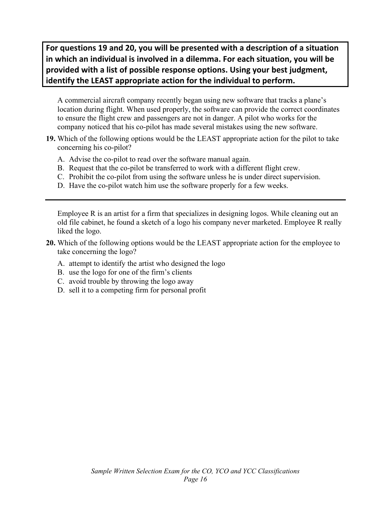**For questions 19 and 20, you will be presented with a description of a situation in which an individual is involved in a dilemma. For each situation, you will be provided with a list of possible response options. Using your best judgment, identify the LEAST appropriate action for the individual to perform.**

A commercial aircraft company recently began using new software that tracks a plane's location during flight. When used properly, the software can provide the correct coordinates to ensure the flight crew and passengers are not in danger. A pilot who works for the company noticed that his co-pilot has made several mistakes using the new software.

- **19.** Which of the following options would be the LEAST appropriate action for the pilot to take concerning his co-pilot?
	- A. Advise the co-pilot to read over the software manual again.
	- B. Request that the co-pilot be transferred to work with a different flight crew.
	- C. Prohibit the co-pilot from using the software unless he is under direct supervision.
	- D. Have the co-pilot watch him use the software properly for a few weeks.

Employee R is an artist for a firm that specializes in designing logos. While cleaning out an old file cabinet, he found a sketch of a logo his company never marketed. Employee R really liked the logo.

- **20.** Which of the following options would be the LEAST appropriate action for the employee to take concerning the logo?
	- A. attempt to identify the artist who designed the logo
	- B. use the logo for one of the firm's clients
	- C. avoid trouble by throwing the logo away
	- D. sell it to a competing firm for personal profit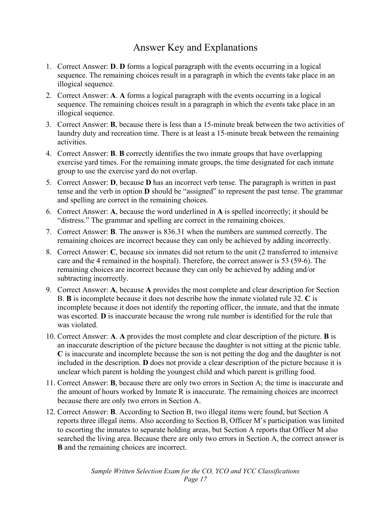# Answer Key and Explanations

- 1. Correct Answer: **D**. **D** forms a logical paragraph with the events occurring in a logical sequence. The remaining choices result in a paragraph in which the events take place in an illogical sequence.
- 2. Correct Answer: **A**. **A** forms a logical paragraph with the events occurring in a logical sequence. The remaining choices result in a paragraph in which the events take place in an illogical sequence.
- 3. Correct Answer: **B**, because there is less than a 15-minute break between the two activities of laundry duty and recreation time. There is at least a 15-minute break between the remaining activities.
- 4. Correct Answer: **B**. **B** correctly identifies the two inmate groups that have overlapping exercise yard times. For the remaining inmate groups, the time designated for each inmate group to use the exercise yard do not overlap.
- 5. Correct Answer: **D**, because **D** has an incorrect verb tense. The paragraph is written in past tense and the verb in option **D** should be "assigned" to represent the past tense. The grammar and spelling are correct in the remaining choices.
- 6. Correct Answer: **A**, because the word underlined in **A** is spelled incorrectly; it should be "distress." The grammar and spelling are correct in the remaining choices.
- 7. Correct Answer: **B**. The answer is 836.31 when the numbers are summed correctly. The remaining choices are incorrect because they can only be achieved by adding incorrectly.
- 8. Correct Answer: **C**, because six inmates did not return to the unit (2 transferred to intensive care and the 4 remained in the hospital). Therefore, the correct answer is 53 (59-6). The remaining choices are incorrect because they can only be achieved by adding and/or subtracting incorrectly.
- 9. Correct Answer: **A**, because **A** provides the most complete and clear description for Section B. **B** is incomplete because it does not describe how the inmate violated rule 32. **C** is incomplete because it does not identify the reporting officer, the inmate, and that the inmate was escorted. **D** is inaccurate because the wrong rule number is identified for the rule that was violated.
- 10. Correct Answer: **A**. **A** provides the most complete and clear description of the picture. **B** is an inaccurate description of the picture because the daughter is not sitting at the picnic table. **C** is inaccurate and incomplete because the son is not petting the dog and the daughter is not included in the description. **D** does not provide a clear description of the picture because it is unclear which parent is holding the youngest child and which parent is grilling food.
- 11. Correct Answer: **B**, because there are only two errors in Section A; the time is inaccurate and the amount of hours worked by Inmate R is inaccurate. The remaining choices are incorrect because there are only two errors in Section A.
- 12. Correct Answer: **B**. According to Section B, two illegal items were found, but Section A reports three illegal items. Also according to Section B, Officer M's participation was limited to escorting the inmates to separate holding areas, but Section A reports that Officer M also searched the living area. Because there are only two errors in Section A, the correct answer is **B** and the remaining choices are incorrect.